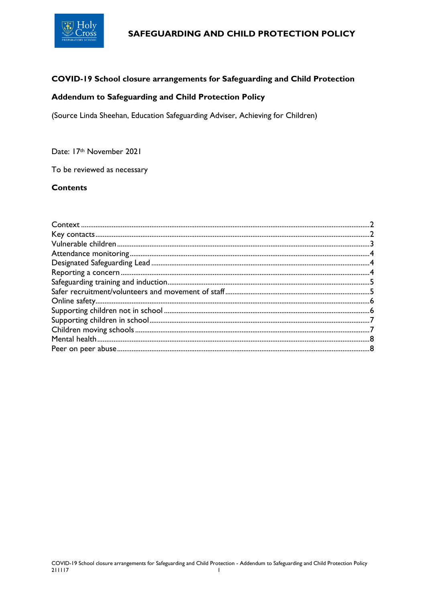

## COVID-19 School closure arrangements for Safeguarding and Child Protection

# Addendum to Safeguarding and Child Protection Policy

(Source Linda Sheehan, Education Safeguarding Adviser, Achieving for Children)

### Date: 17th November 2021

To be reviewed as necessary

## **Contents**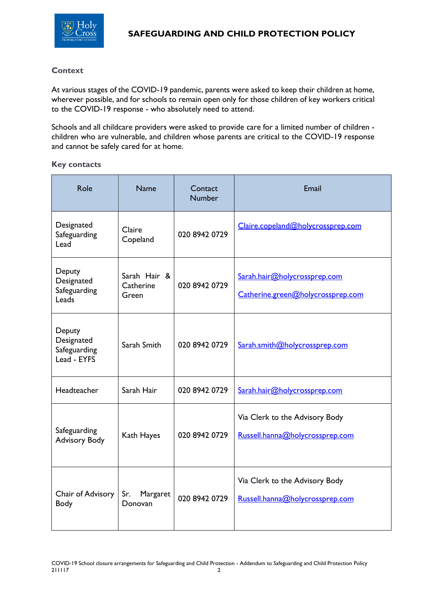

## <span id="page-1-0"></span>**Context**

At various stages of the COVID-19 pandemic, parents were asked to keep their children at home, wherever possible, and for schools to remain open only for those children of key workers critical to the COVID-19 response - who absolutely need to attend.

Schools and all childcare providers were asked to provide care for a limited number of children children who are vulnerable, and children whose parents are critical to the COVID-19 response and cannot be safely cared for at home.

### <span id="page-1-1"></span>**Key contacts**

| Role                                                | <b>Name</b>                        | Contact<br><b>Number</b> | Email                                                             |
|-----------------------------------------------------|------------------------------------|--------------------------|-------------------------------------------------------------------|
| Designated<br>Safeguarding<br>Lead                  | Claire<br>Copeland                 | 020 8942 0729            | Claire.copeland@holycrossprep.com                                 |
| Deputy<br>Designated<br>Safeguarding<br>Leads       | Sarah Hair &<br>Catherine<br>Green | 020 8942 0729            | Sarah.hair@holycrossprep.com<br>Catherine.green@holycrossprep.com |
| Deputy<br>Designated<br>Safeguarding<br>Lead - EYFS | Sarah Smith                        | 020 8942 0729            | Sarah.smith@holycrossprep.com                                     |
| Headteacher                                         | Sarah Hair                         | 020 8942 0729            | Sarah.hair@holycrossprep.com                                      |
| Safeguarding<br><b>Advisory Body</b>                | Kath Hayes                         | 020 8942 0729            | Via Clerk to the Advisory Body<br>Russell.hanna@holycrossprep.com |
| Chair of Advisory<br><b>Body</b>                    | Sr.<br>Margaret<br>Donovan         | 020 8942 0729            | Via Clerk to the Advisory Body<br>Russell.hanna@holycrossprep.com |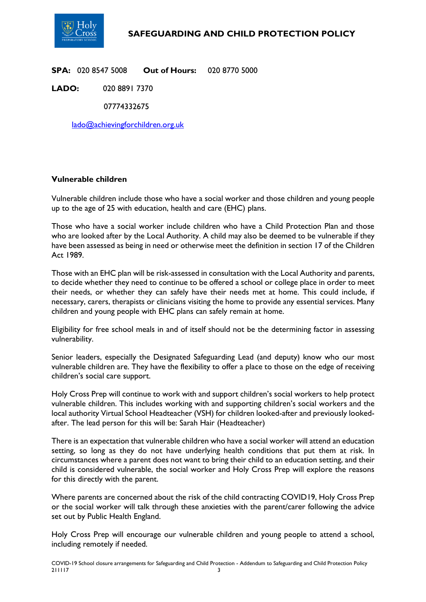

**SPA:** 020 8547 5008 **Out of Hours:** 020 8770 5000

**LADO:** 020 8891 7370

07774332675

[lado@achievingforchildren.org.uk](mailto:lado@achievingforchildren.org.uk)

## <span id="page-2-0"></span>**Vulnerable children**

Vulnerable children include those who have a social worker and those children and young people up to the age of 25 with education, health and care (EHC) plans.

Those who have a social worker include children who have a Child Protection Plan and those who are looked after by the Local Authority. A child may also be deemed to be vulnerable if they have been assessed as being in need or otherwise meet the definition in section 17 of the Children Act 1989.

Those with an EHC plan will be risk-assessed in consultation with the Local Authority and parents, to decide whether they need to continue to be offered a school or college place in order to meet their needs, or whether they can safely have their needs met at home. This could include, if necessary, carers, therapists or clinicians visiting the home to provide any essential services. Many children and young people with EHC plans can safely remain at home.

Eligibility for free school meals in and of itself should not be the determining factor in assessing vulnerability.

Senior leaders, especially the Designated Safeguarding Lead (and deputy) know who our most vulnerable children are. They have the flexibility to offer a place to those on the edge of receiving children's social care support.

Holy Cross Prep will continue to work with and support children's social workers to help protect vulnerable children. This includes working with and supporting children's social workers and the local authority Virtual School Headteacher (VSH) for children looked-after and previously lookedafter. The lead person for this will be: Sarah Hair (Headteacher)

There is an expectation that vulnerable children who have a social worker will attend an education setting, so long as they do not have underlying health conditions that put them at risk. In circumstances where a parent does not want to bring their child to an education setting, and their child is considered vulnerable, the social worker and Holy Cross Prep will explore the reasons for this directly with the parent.

Where parents are concerned about the risk of the child contracting COVID19, Holy Cross Prep or the social worker will talk through these anxieties with the parent/carer following the advice set out by Public Health England.

Holy Cross Prep will encourage our vulnerable children and young people to attend a school, including remotely if needed.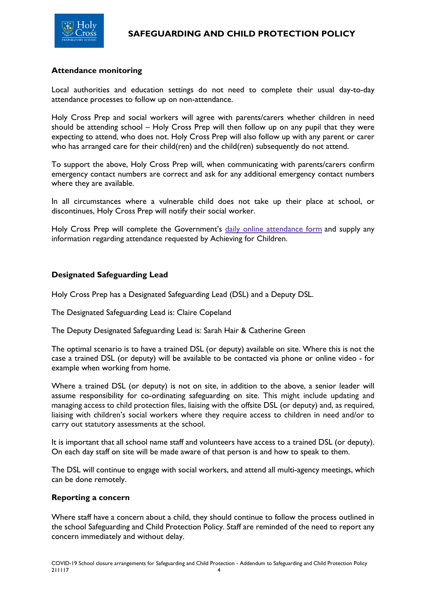

## <span id="page-3-0"></span>**Attendance monitoring**

Local authorities and education settings do not need to complete their usual day-to-day attendance processes to follow up on non-attendance.

Holy Cross Prep and social workers will agree with parents/carers whether children in need should be attending school – Holy Cross Prep will then follow up on any pupil that they were expecting to attend, who does not. Holy Cross Prep will also follow up with any parent or carer who has arranged care for their child(ren) and the child(ren) subsequently do not attend.

To support the above, Holy Cross Prep will, when communicating with parents/carers confirm emergency contact numbers are correct and ask for any additional emergency contact numbers where they are available.

In all circumstances where a vulnerable child does not take up their place at school, or discontinues, Holy Cross Prep will notify their social worker.

Holy Cross Prep will complete the Government's daily online [attendance](https://www.gov.uk/government/publications/coronavirus-covid-19-attendance-recording-for-educational-settings) form and supply any information regarding attendance requested by Achieving for Children.

## <span id="page-3-1"></span>**Designated Safeguarding Lead**

Holy Cross Prep has a Designated Safeguarding Lead (DSL) and a Deputy DSL.

The Designated Safeguarding Lead is: Claire Copeland

The Deputy Designated Safeguarding Lead is: Sarah Hair & Catherine Green

The optimal scenario is to have a trained DSL (or deputy) available on site. Where this is not the case a trained DSL (or deputy) will be available to be contacted via phone or online video - for example when working from home.

Where a trained DSL (or deputy) is not on site, in addition to the above, a senior leader will assume responsibility for co-ordinating safeguarding on site. This might include updating and managing access to child protection files, liaising with the offsite DSL (or deputy) and, as required, liaising with children's social workers where they require access to children in need and/or to carry out statutory assessments at the school.

It is important that all school name staff and volunteers have access to a trained DSL (or deputy). On each day staff on site will be made aware of that person is and how to speak to them.

The DSL will continue to engage with social workers, and attend all multi-agency meetings, which can be done remotely.

#### <span id="page-3-2"></span>**Reporting a concern**

Where staff have a concern about a child, they should continue to follow the process outlined in the school Safeguarding and Child Protection Policy. Staff are reminded of the need to report any concern immediately and without delay.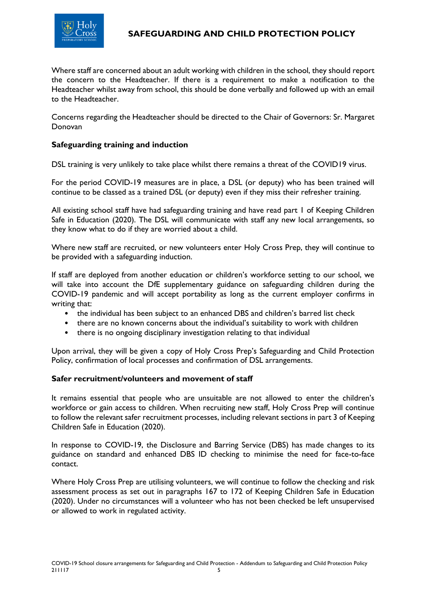

Where staff are concerned about an adult working with children in the school, they should report the concern to the Headteacher. If there is a requirement to make a notification to the Headteacher whilst away from school, this should be done verbally and followed up with an email to the Headteacher.

Concerns regarding the Headteacher should be directed to the Chair of Governors: Sr. Margaret Donovan

# <span id="page-4-0"></span>**Safeguarding training and induction**

DSL training is very unlikely to take place whilst there remains a threat of the COVID19 virus.

For the period COVID-19 measures are in place, a DSL (or deputy) who has been trained will continue to be classed as a trained DSL (or deputy) even if they miss their refresher training.

All existing school staff have had safeguarding training and have read part 1 of Keeping Children Safe in Education (2020). The DSL will communicate with staff any new local arrangements, so they know what to do if they are worried about a child.

Where new staff are recruited, or new volunteers enter Holy Cross Prep, they will continue to be provided with a safeguarding induction.

If staff are deployed from another education or children's workforce setting to our school, we will take into account the DfE supplementary guidance on safeguarding children during the COVID-19 pandemic and will accept portability as long as the current employer confirms in writing that:

- the individual has been subject to an enhanced DBS and children's barred list check
- there are no known concerns about the individual's suitability to work with children
- there is no ongoing disciplinary investigation relating to that individual

Upon arrival, they will be given a copy of Holy Cross Prep's Safeguarding and Child Protection Policy, confirmation of local processes and confirmation of DSL arrangements.

## <span id="page-4-1"></span>**Safer recruitment/volunteers and movement of staff**

It remains essential that people who are unsuitable are not allowed to enter the children's workforce or gain access to children. When recruiting new staff, Holy Cross Prep will continue to follow the relevant safer recruitment processes, including relevant sections in part 3 of Keeping Children Safe in Education (2020).

In response to COVID-19, the Disclosure and Barring Service (DBS) has made changes to its guidance on standard and enhanced DBS ID checking to minimise the need for face-to-face contact.

Where Holy Cross Prep are utilising volunteers, we will continue to follow the checking and risk assessment process as set out in paragraphs 167 to 172 of Keeping Children Safe in Education (2020). Under no circumstances will a volunteer who has not been checked be left unsupervised or allowed to work in regulated activity.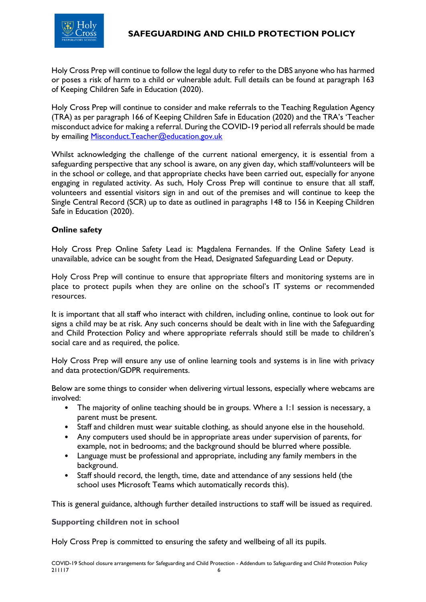

Holy Cross Prep will continue to follow the legal duty to refer to the DBS anyone who has harmed or poses a risk of harm to a child or vulnerable adult. Full details can be found at paragraph 163 of Keeping Children Safe in Education (2020).

Holy Cross Prep will continue to consider and make referrals to the Teaching Regulation Agency (TRA) as per paragraph 166 of Keeping Children Safe in Education (2020) and the TRA's 'Teacher misconduct advice for making a referral. During the COVID-19 period all referrals should be made by emailing **Misconduct.Teacher@education.gov.uk** 

Whilst acknowledging the challenge of the current national emergency, it is essential from a safeguarding perspective that any school is aware, on any given day, which staff/volunteers will be in the school or college, and that appropriate checks have been carried out, especially for anyone engaging in regulated activity. As such, Holy Cross Prep will continue to ensure that all staff, volunteers and essential visitors sign in and out of the premises and will continue to keep the Single Central Record (SCR) up to date as outlined in paragraphs 148 to 156 in Keeping Children Safe in Education (2020).

# <span id="page-5-0"></span>**Online safety**

Holy Cross Prep Online Safety Lead is: Magdalena Fernandes. If the Online Safety Lead is unavailable, advice can be sought from the Head, Designated Safeguarding Lead or Deputy.

Holy Cross Prep will continue to ensure that appropriate filters and monitoring systems are in place to protect pupils when they are online on the school's IT systems or recommended resources.

It is important that all staff who interact with children, including online, continue to look out for signs a child may be at risk. Any such concerns should be dealt with in line with the Safeguarding and Child Protection Policy and where appropriate referrals should still be made to children's social care and as required, the police.

Holy Cross Prep will ensure any use of online learning tools and systems is in line with privacy and data protection/GDPR requirements.

Below are some things to consider when delivering virtual lessons, especially where webcams are involved:

- The majority of online teaching should be in groups. Where a 1:1 session is necessary, a parent must be present.
- Staff and children must wear suitable clothing, as should anyone else in the household.
- Any computers used should be in appropriate areas under supervision of parents, for example, not in bedrooms; and the background should be blurred where possible.
- Language must be professional and appropriate, including any family members in the background.
- Staff should record, the length, time, date and attendance of any sessions held (the school uses Microsoft Teams which automatically records this).

<span id="page-5-1"></span>This is general guidance, although further detailed instructions to staff will be issued as required.

#### **Supporting children not in school**

Holy Cross Prep is committed to ensuring the safety and wellbeing of all its pupils.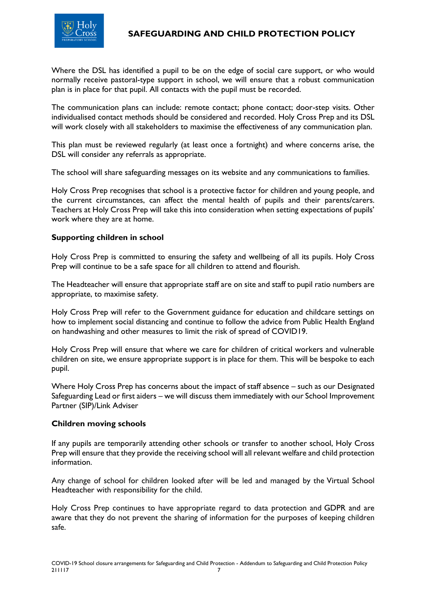

Where the DSL has identified a pupil to be on the edge of social care support, or who would normally receive pastoral-type support in school, we will ensure that a robust communication plan is in place for that pupil. All contacts with the pupil must be recorded.

The communication plans can include: remote contact; phone contact; door-step visits. Other individualised contact methods should be considered and recorded. Holy Cross Prep and its DSL will work closely with all stakeholders to maximise the effectiveness of any communication plan.

This plan must be reviewed regularly (at least once a fortnight) and where concerns arise, the DSL will consider any referrals as appropriate.

The school will share safeguarding messages on its website and any communications to families.

Holy Cross Prep recognises that school is a protective factor for children and young people, and the current circumstances, can affect the mental health of pupils and their parents/carers. Teachers at Holy Cross Prep will take this into consideration when setting expectations of pupils' work where they are at home.

## <span id="page-6-0"></span>**Supporting children in school**

Holy Cross Prep is committed to ensuring the safety and wellbeing of all its pupils. Holy Cross Prep will continue to be a safe space for all children to attend and flourish.

The Headteacher will ensure that appropriate staff are on site and staff to pupil ratio numbers are appropriate, to maximise safety.

Holy Cross Prep will refer to the Government guidance for education and childcare settings on how to implement social distancing and continue to follow the advice from Public Health England on handwashing and other measures to limit the risk of spread of COVID19.

Holy Cross Prep will ensure that where we care for children of critical workers and vulnerable children on site, we ensure appropriate support is in place for them. This will be bespoke to each pupil.

Where Holy Cross Prep has concerns about the impact of staff absence – such as our Designated Safeguarding Lead or first aiders – we will discuss them immediately with our School Improvement Partner (SIP)/Link Adviser

## <span id="page-6-1"></span>**Children moving schools**

If any pupils are temporarily attending other schools or transfer to another school, Holy Cross Prep will ensure that they provide the receiving school will all relevant welfare and child protection information.

Any change of school for children looked after will be led and managed by the Virtual School Headteacher with responsibility for the child.

Holy Cross Prep continues to have appropriate regard to data protection and GDPR and are aware that they do not prevent the sharing of information for the purposes of keeping children safe.